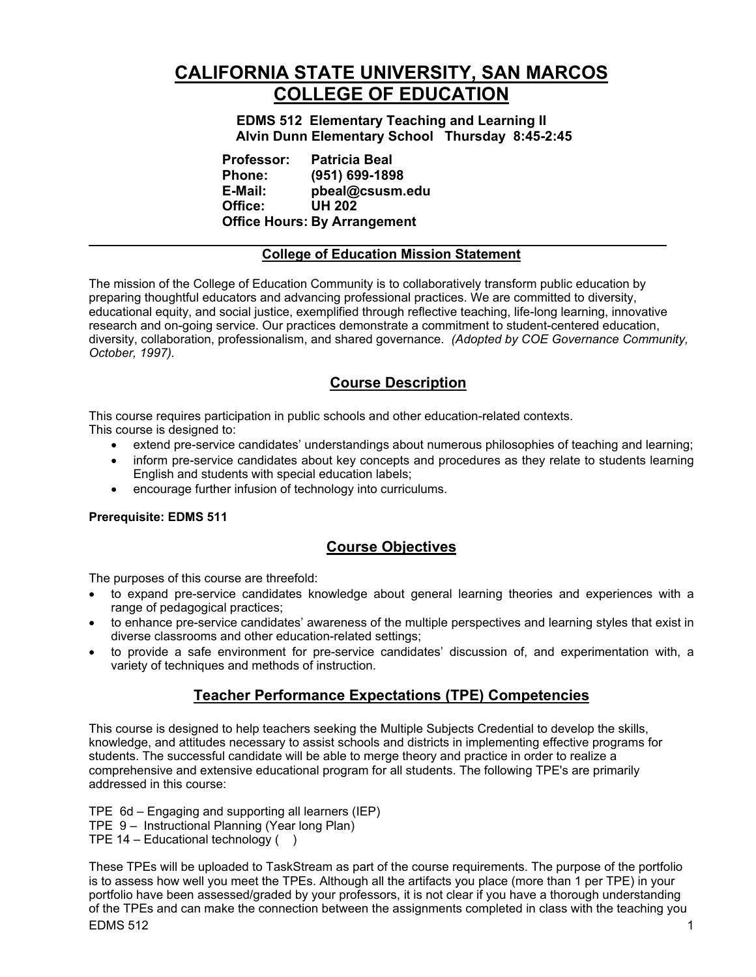# **CALIFORNIA STATE UNIVERSITY, SAN MARCOS COLLEGE OF EDUCATION**

**EDMS 512 Elementary Teaching and Learning II Alvin Dunn Elementary School Thursday 8:45-2:45** 

| <b>Professor:</b> | <b>Patricia Beal</b>                |
|-------------------|-------------------------------------|
| <b>Phone:</b>     | (951) 699-1898                      |
| E-Mail:           | pbeal@csusm.edu                     |
| Office:           | <b>UH 202</b>                       |
|                   | <b>Office Hours: By Arrangement</b> |

### **College of Education Mission Statement**

The mission of the College of Education Community is to collaboratively transform public education by preparing thoughtful educators and advancing professional practices. We are committed to diversity, educational equity, and social justice, exemplified through reflective teaching, life-long learning, innovative research and on-going service. Our practices demonstrate a commitment to student-centered education, diversity, collaboration, professionalism, and shared governance. *(Adopted by COE Governance Community, October, 1997).*

# **Course Description**

This course requires participation in public schools and other education-related contexts. This course is designed to:

- extend pre-service candidates' understandings about numerous philosophies of teaching and learning;
- inform pre-service candidates about key concepts and procedures as they relate to students learning English and students with special education labels;
- encourage further infusion of technology into curriculums.

### **Prerequisite: EDMS 511**

# **Course Objectives**

The purposes of this course are threefold:

- to expand pre-service candidates knowledge about general learning theories and experiences with a range of pedagogical practices;
- to enhance pre-service candidates' awareness of the multiple perspectives and learning styles that exist in diverse classrooms and other education-related settings;
- to provide a safe environment for pre-service candidates' discussion of, and experimentation with, a variety of techniques and methods of instruction.

# **Teacher Performance Expectations (TPE) Competencies**

This course is designed to help teachers seeking the Multiple Subjects Credential to develop the skills, knowledge, and attitudes necessary to assist schools and districts in implementing effective programs for students. The successful candidate will be able to merge theory and practice in order to realize a comprehensive and extensive educational program for all students. The following TPE's are primarily addressed in this course:

TPE 6d – Engaging and supporting all learners (IEP)

TPE 9 – Instructional Planning (Year long Plan)

TPE  $14$  – Educational technology ()

 $EDMS$  512  $12$ These TPEs will be uploaded to TaskStream as part of the course requirements. The purpose of the portfolio is to assess how well you meet the TPEs. Although all the artifacts you place (more than 1 per TPE) in your portfolio have been assessed/graded by your professors, it is not clear if you have a thorough understanding of the TPEs and can make the connection between the assignments completed in class with the teaching you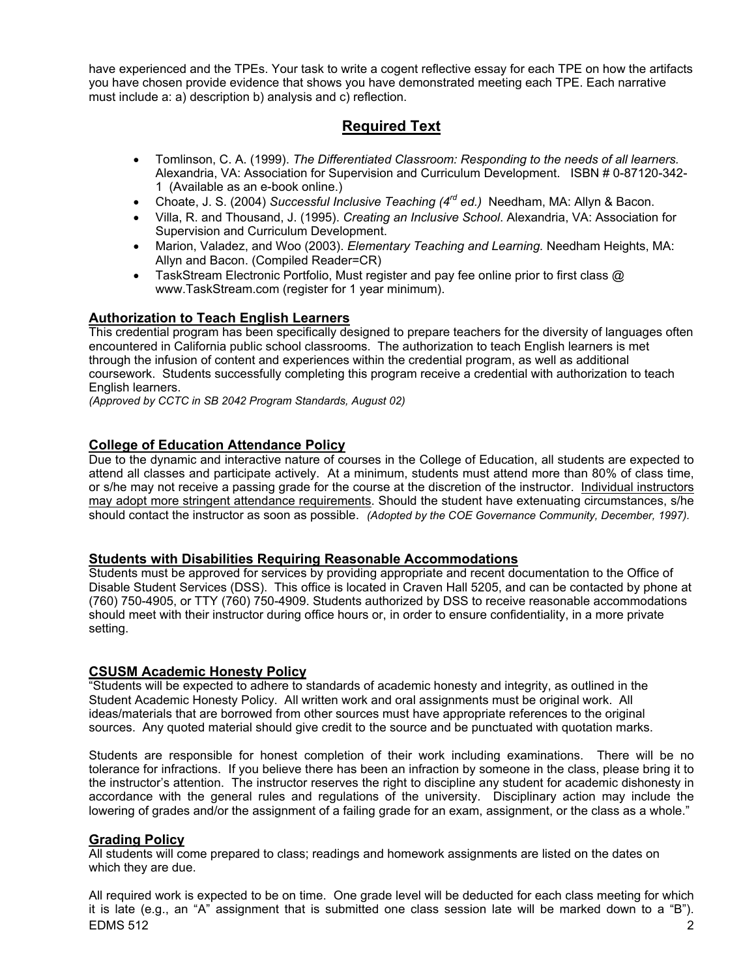have experienced and the TPEs. Your task to write a cogent reflective essay for each TPE on how the artifacts you have chosen provide evidence that shows you have demonstrated meeting each TPE. Each narrative must include a: a) description b) analysis and c) reflection.

# **Required Text**

- Tomlinson, C. A. (1999). *The Differentiated Classroom: Responding to the needs of all learners.*  Alexandria, VA: Association for Supervision and Curriculum Development. ISBN # 0-87120-342- 1 (Available as an e-book online.)
- Choate, J. S. (2004) *Successful Inclusive Teaching (4rd ed.)* Needham, MA: Allyn & Bacon.
- Villa, R. and Thousand, J. (1995). *Creating an Inclusive School*. Alexandria, VA: Association for Supervision and Curriculum Development.
- Marion, Valadez, and Woo (2003). *Elementary Teaching and Learning.* Needham Heights, MA: Allyn and Bacon. (Compiled Reader=CR)
- TaskStream Electronic Portfolio, Must register and pay fee online prior to first class  $\omega$ www.TaskStream.com (register for 1 year minimum).

## **Authorization to Teach English Learners**

This credential program has been specifically designed to prepare teachers for the diversity of languages often encountered in California public school classrooms. The authorization to teach English learners is met through the infusion of content and experiences within the credential program, as well as additional coursework. Students successfully completing this program receive a credential with authorization to teach English learners.

*(Approved by CCTC in SB 2042 Program Standards, August 02)*

### **College of Education Attendance Policy**

Due to the dynamic and interactive nature of courses in the College of Education, all students are expected to attend all classes and participate actively. At a minimum, students must attend more than 80% of class time, or s/he may not receive a passing grade for the course at the discretion of the instructor. Individual instructors may adopt more stringent attendance requirements. Should the student have extenuating circumstances, s/he should contact the instructor as soon as possible. *(Adopted by the COE Governance Community, December, 1997).*

### **Students with Disabilities Requiring Reasonable Accommodations**

Students must be approved for services by providing appropriate and recent documentation to the Office of Disable Student Services (DSS). This office is located in Craven Hall 5205, and can be contacted by phone at (760) 750-4905, or TTY (760) 750-4909. Students authorized by DSS to receive reasonable accommodations should meet with their instructor during office hours or, in order to ensure confidentiality, in a more private setting.

### **CSUSM Academic Honesty Policy**

"Students will be expected to adhere to standards of academic honesty and integrity, as outlined in the Student Academic Honesty Policy. All written work and oral assignments must be original work. All ideas/materials that are borrowed from other sources must have appropriate references to the original sources. Any quoted material should give credit to the source and be punctuated with quotation marks.

Students are responsible for honest completion of their work including examinations. There will be no tolerance for infractions. If you believe there has been an infraction by someone in the class, please bring it to the instructor's attention. The instructor reserves the right to discipline any student for academic dishonesty in accordance with the general rules and regulations of the university. Disciplinary action may include the lowering of grades and/or the assignment of a failing grade for an exam, assignment, or the class as a whole."

### **Grading Policy**

All students will come prepared to class; readings and homework assignments are listed on the dates on which they are due.

EDMS 512 2 All required work is expected to be on time. One grade level will be deducted for each class meeting for which it is late (e.g., an "A" assignment that is submitted one class session late will be marked down to a "B").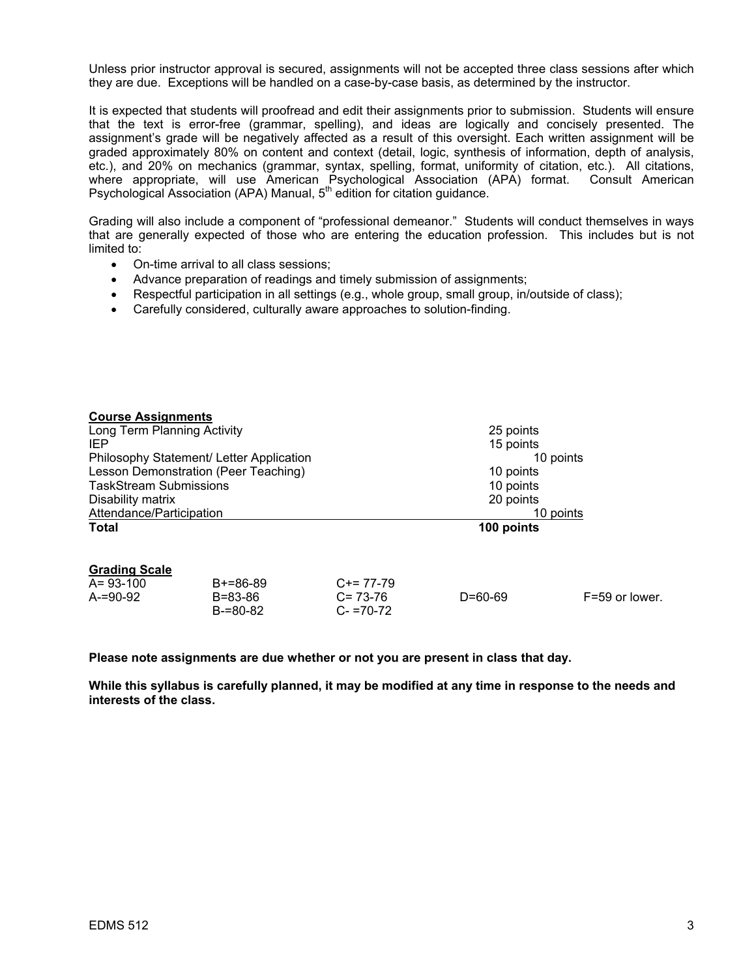Unless prior instructor approval is secured, assignments will not be accepted three class sessions after which they are due. Exceptions will be handled on a case-by-case basis, as determined by the instructor.

It is expected that students will proofread and edit their assignments prior to submission. Students will ensure that the text is error-free (grammar, spelling), and ideas are logically and concisely presented. The assignment's grade will be negatively affected as a result of this oversight. Each written assignment will be graded approximately 80% on content and context (detail, logic, synthesis of information, depth of analysis, etc.), and 20% on mechanics (grammar, syntax, spelling, format, uniformity of citation, etc.). All citations, where appropriate, will use American Psychological Association (APA) format. Consult American Psychological Association (APA) Manual, 5<sup>th</sup> edition for citation guidance.

Grading will also include a component of "professional demeanor." Students will conduct themselves in ways that are generally expected of those who are entering the education profession. This includes but is not limited to:

- On-time arrival to all class sessions;
- Advance preparation of readings and timely submission of assignments;
- Respectful participation in all settings (e.g., whole group, small group, in/outside of class);
- Carefully considered, culturally aware approaches to solution-finding.

| <b>Course Assignments</b>                |                                |                              |               |                |
|------------------------------------------|--------------------------------|------------------------------|---------------|----------------|
| Long Term Planning Activity              |                                |                              | 25 points     |                |
| IEP.                                     |                                |                              | 15 points     |                |
| Philosophy Statement/ Letter Application |                                |                              | 10 points     |                |
| Lesson Demonstration (Peer Teaching)     |                                |                              | 10 points     |                |
| <b>TaskStream Submissions</b>            |                                |                              | 10 points     |                |
| Disability matrix                        |                                |                              | 20 points     |                |
| Attendance/Participation                 |                                |                              | 10 points     |                |
| Total                                    |                                |                              | 100 points    |                |
| <b>Grading Scale</b><br>$A = 93 - 100$   | $B+=86-89$                     | $C+= 77-79$                  |               |                |
| $A = 90 - 92$                            | $B = 83 - 86$<br>$B = 80 - 82$ | $C = 73-76$<br>$C - 70 - 72$ | $D = 60 - 69$ | F=59 or lower. |

**Please note assignments are due whether or not you are present in class that day.** 

**While this syllabus is carefully planned, it may be modified at any time in response to the needs and interests of the class.**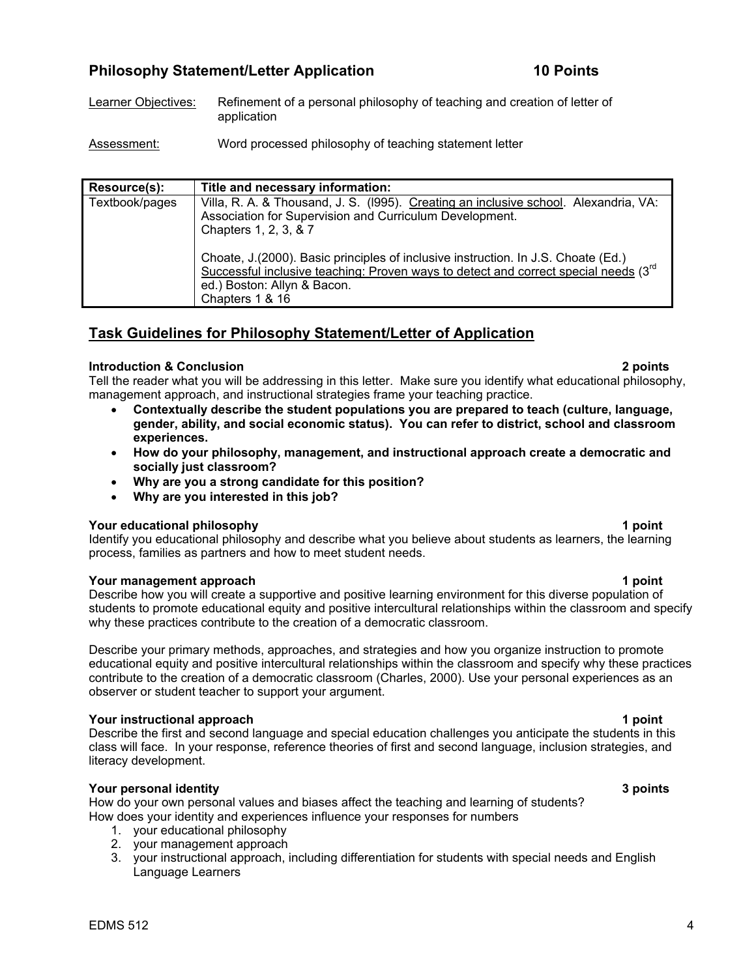# **Philosophy Statement/Letter Application 10 Points 10 Points**

- Learner Objectives: Refinement of a personal philosophy of teaching and creation of letter of application
- Assessment: Word processed philosophy of teaching statement letter

| Resource(s):   | Title and necessary information:                                                                                                                                                                                                 |
|----------------|----------------------------------------------------------------------------------------------------------------------------------------------------------------------------------------------------------------------------------|
| Textbook/pages | Villa, R. A. & Thousand, J. S. (1995). Creating an inclusive school. Alexandria, VA:<br>Association for Supervision and Curriculum Development.<br>Chapters 1, 2, 3, & 7                                                         |
|                | Choate, J. (2000). Basic principles of inclusive instruction. In J.S. Choate (Ed.)<br>Successful inclusive teaching: Proven ways to detect and correct special needs $(3^{rd}$<br>ed.) Boston: Allyn & Bacon.<br>Chapters 1 & 16 |

# **Task Guidelines for Philosophy Statement/Letter of Application**

### **Introduction & Conclusion 2 points**

Tell the reader what you will be addressing in this letter. Make sure you identify what educational philosophy, management approach, and instructional strategies frame your teaching practice.

- **Contextually describe the student populations you are prepared to teach (culture, language, gender, ability, and social economic status). You can refer to district, school and classroom experiences.**
- **How do your philosophy, management, and instructional approach create a democratic and socially just classroom?**
- **Why are you a strong candidate for this position?**
- **Why are you interested in this job?**

### **Your educational philosophy 1 point**

Identify you educational philosophy and describe what you believe about students as learners, the learning process, families as partners and how to meet student needs.

### **Four management approach 1 point 1 point 1 point 1 point**

Describe how you will create a supportive and positive learning environment for this diverse population of students to promote educational equity and positive intercultural relationships within the classroom and specify why these practices contribute to the creation of a democratic classroom.

Describe your primary methods, approaches, and strategies and how you organize instruction to promote educational equity and positive intercultural relationships within the classroom and specify why these practices contribute to the creation of a democratic classroom (Charles, 2000). Use your personal experiences as an observer or student teacher to support your argument.

### **The Vour instructional approach 1 point 1 point 1 point 1 point 1 point 1 point 1 point 1 point 1 point 1 point**

Describe the first and second language and special education challenges you anticipate the students in this class will face. In your response, reference theories of first and second language, inclusion strategies, and literacy development.

### **Your personal identity 3 points**

How do your own personal values and biases affect the teaching and learning of students? How does your identity and experiences influence your responses for numbers

- 1. your educational philosophy
- 2. your management approach
- 3. your instructional approach, including differentiation for students with special needs and English Language Learners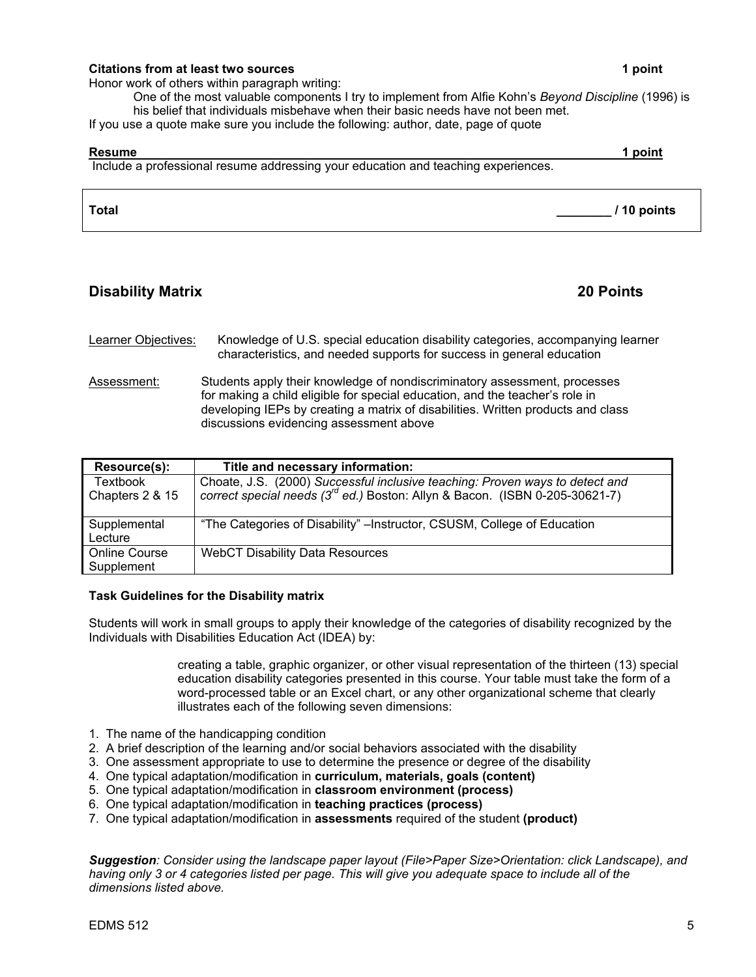### **Citations from at least two sources 1 point 1 point 1 point 1 point 1 point 1 point 1 point 1 point 1 point 1 point 1 point 1 point 1 point 1 point 1 point 1 point 1 point 1 point 1 point 1 point 1 point 1 point 1 point 1**

Honor work of others within paragraph writing:

One of the most valuable components I try to implement from Alfie Kohn's *Beyond Discipline* (1996) is his belief that individuals misbehave when their basic needs have not been met.

If you use a quote make sure you include the following: author, date, page of quote

# **Resume 1 point**  Include a professional resume addressing your education and teaching experiences. **Total \_\_\_\_\_\_\_\_ / 10 points**

# **Disability Matrix 20 Points**

| Learner Objectives: | Knowledge of U.S. special education disability categories, accompanying learner |
|---------------------|---------------------------------------------------------------------------------|
|                     | characteristics, and needed supports for success in general education           |

Assessment: Students apply their knowledge of nondiscriminatory assessment, processes for making a child eligible for special education, and the teacher's role in developing IEPs by creating a matrix of disabilities. Written products and class discussions evidencing assessment above

| Resource(s):                       | Title and necessary information:                                                                                                                                        |
|------------------------------------|-------------------------------------------------------------------------------------------------------------------------------------------------------------------------|
| Textbook<br>Chapters 2 & 15        | Choate, J.S. (2000) Successful inclusive teaching: Proven ways to detect and<br>correct special needs (3 <sup>rd</sup> ed.) Boston: Allyn & Bacon. (ISBN 0-205-30621-7) |
| Supplemental<br>Lecture            | "The Categories of Disability" – Instructor, CSUSM, College of Education                                                                                                |
| <b>Online Course</b><br>Supplement | <b>WebCT Disability Data Resources</b>                                                                                                                                  |

### **Task Guidelines for the Disability matrix**

Students will work in small groups to apply their knowledge of the categories of disability recognized by the Individuals with Disabilities Education Act (IDEA) by:

> creating a table, graphic organizer, or other visual representation of the thirteen (13) special education disability categories presented in this course. Your table must take the form of a word-processed table or an Excel chart, or any other organizational scheme that clearly illustrates each of the following seven dimensions:

- 1. The name of the handicapping condition
- 2. A brief description of the learning and/or social behaviors associated with the disability
- 3. One assessment appropriate to use to determine the presence or degree of the disability
- 4. One typical adaptation/modification in **curriculum, materials, goals (content)**
- 5. One typical adaptation/modification in **classroom environment (process)**
- 6. One typical adaptation/modification in **teaching practices (process)**
- 7. One typical adaptation/modification in **assessments** required of the student **(product)**

*Suggestion: Consider using the landscape paper layout (File>Paper Size>Orientation: click Landscape), and having only 3 or 4 categories listed per page. This will give you adequate space to include all of the dimensions listed above.*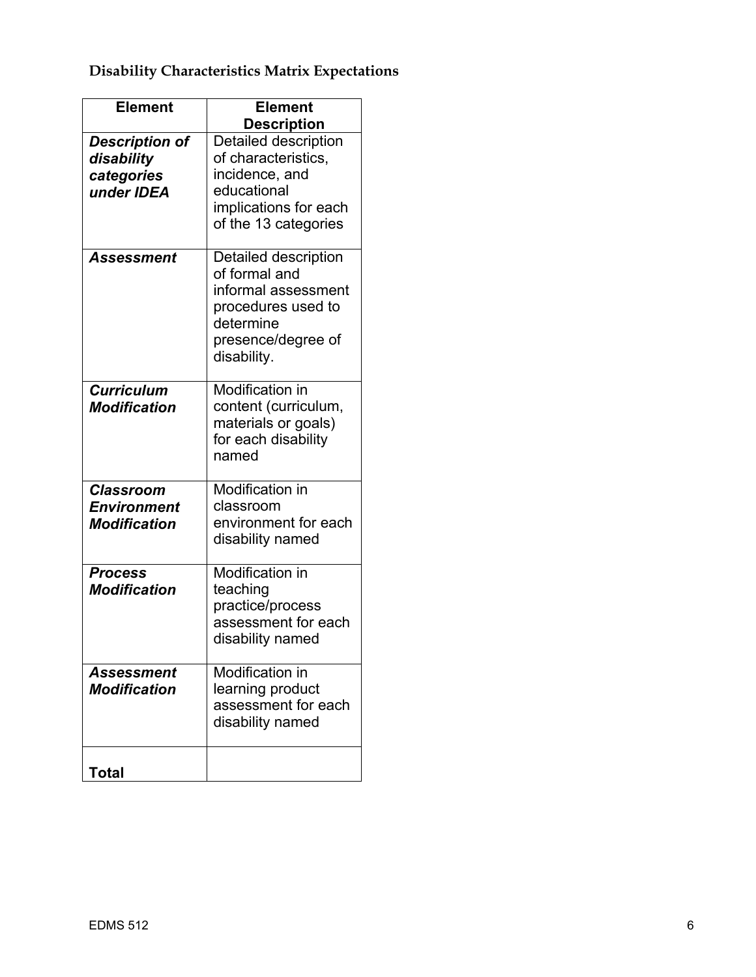# **Disability Characteristics Matrix Expectations**

| <b>Element</b>        | <b>Element</b>                        |
|-----------------------|---------------------------------------|
|                       | <b>Description</b>                    |
| <b>Description of</b> | Detailed description                  |
| disability            | of characteristics,                   |
| categories            | incidence, and                        |
| under IDEA            | educational                           |
|                       | implications for each                 |
|                       | of the 13 categories                  |
|                       |                                       |
| <b>Assessment</b>     | Detailed description<br>of formal and |
|                       | informal assessment                   |
|                       | procedures used to                    |
|                       | determine                             |
|                       | presence/degree of                    |
|                       | disability.                           |
|                       |                                       |
| <b>Curriculum</b>     | <b>Modification in</b>                |
| <b>Modification</b>   | content (curriculum,                  |
|                       | materials or goals)                   |
|                       | for each disability                   |
|                       | named                                 |
|                       |                                       |
| <b>Classroom</b>      | Modification in                       |
| <b>Environment</b>    | classroom                             |
| <b>Modification</b>   | environment for each                  |
|                       | disability named                      |
|                       | Modification in                       |
| <b>Process</b>        |                                       |
| <b>Modification</b>   | teaching<br>practice/process          |
|                       | assessment for each                   |
|                       | disability named                      |
|                       |                                       |
| Assessment            | <b>Modification in</b>                |
| <b>Modification</b>   | learning product                      |
|                       | assessment for each                   |
|                       | disability named                      |
|                       |                                       |
|                       |                                       |
| <b>Total</b>          |                                       |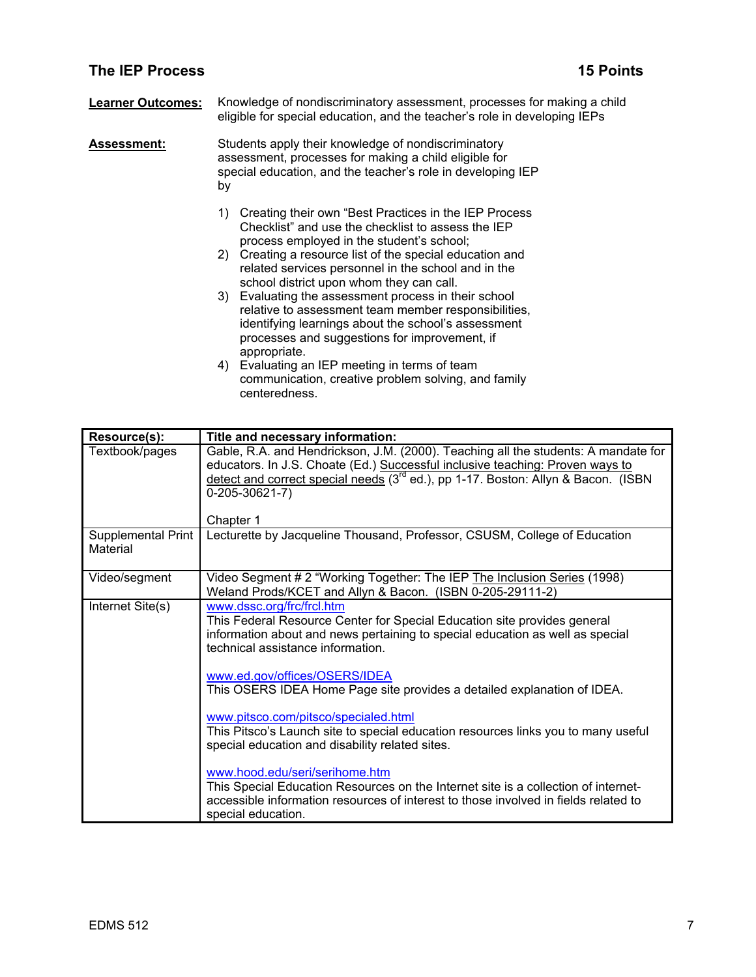## **The IEP Process 25 Points in the IEP Process 25 Points 15 Points**

| <b>Learner Outcomes:</b> | Knowledge of nondiscriminatory assessment, processes for making a child   |  |
|--------------------------|---------------------------------------------------------------------------|--|
|                          | eligible for special education, and the teacher's role in developing IEPs |  |

**Assessment:** Students apply their knowledge of nondiscriminatory assessment, processes for making a child eligible for special education, and the teacher's role in developing IEP by

- 1) Creating their own "Best Practices in the IEP Process Checklist" and use the checklist to assess the IEP process employed in the student's school;
- 2) Creating a resource list of the special education and related services personnel in the school and in the school district upon whom they can call.
- 3) Evaluating the assessment process in their school relative to assessment team member responsibilities, identifying learnings about the school's assessment processes and suggestions for improvement, if appropriate.
- 4) Evaluating an IEP meeting in terms of team communication, creative problem solving, and family centeredness.

| Resource(s):                   | Title and necessary information:                                                                                                                                                                                                                                                                           |
|--------------------------------|------------------------------------------------------------------------------------------------------------------------------------------------------------------------------------------------------------------------------------------------------------------------------------------------------------|
| Textbook/pages                 | Gable, R.A. and Hendrickson, J.M. (2000). Teaching all the students: A mandate for<br>educators. In J.S. Choate (Ed.) Successful inclusive teaching: Proven ways to<br>detect and correct special needs (3 <sup>rd</sup> ed.), pp 1-17. Boston: Allyn & Bacon. (ISBN<br>$0 - 205 - 30621 - 7$<br>Chapter 1 |
| Supplemental Print<br>Material | Lecturette by Jacqueline Thousand, Professor, CSUSM, College of Education                                                                                                                                                                                                                                  |
| Video/segment                  | Video Segment # 2 "Working Together: The IEP The Inclusion Series (1998)<br>Weland Prods/KCET and Allyn & Bacon. (ISBN 0-205-29111-2)                                                                                                                                                                      |
| Internet Site(s)               | www.dssc.org/frc/frcl.htm<br>This Federal Resource Center for Special Education site provides general<br>information about and news pertaining to special education as well as special<br>technical assistance information.                                                                                |
|                                | www.ed.gov/offices/OSERS/IDEA<br>This OSERS IDEA Home Page site provides a detailed explanation of IDEA.                                                                                                                                                                                                   |
|                                | www.pitsco.com/pitsco/specialed.html<br>This Pitsco's Launch site to special education resources links you to many useful<br>special education and disability related sites.                                                                                                                               |
|                                | www.hood.edu/seri/serihome.htm<br>This Special Education Resources on the Internet site is a collection of internet-<br>accessible information resources of interest to those involved in fields related to<br>special education.                                                                          |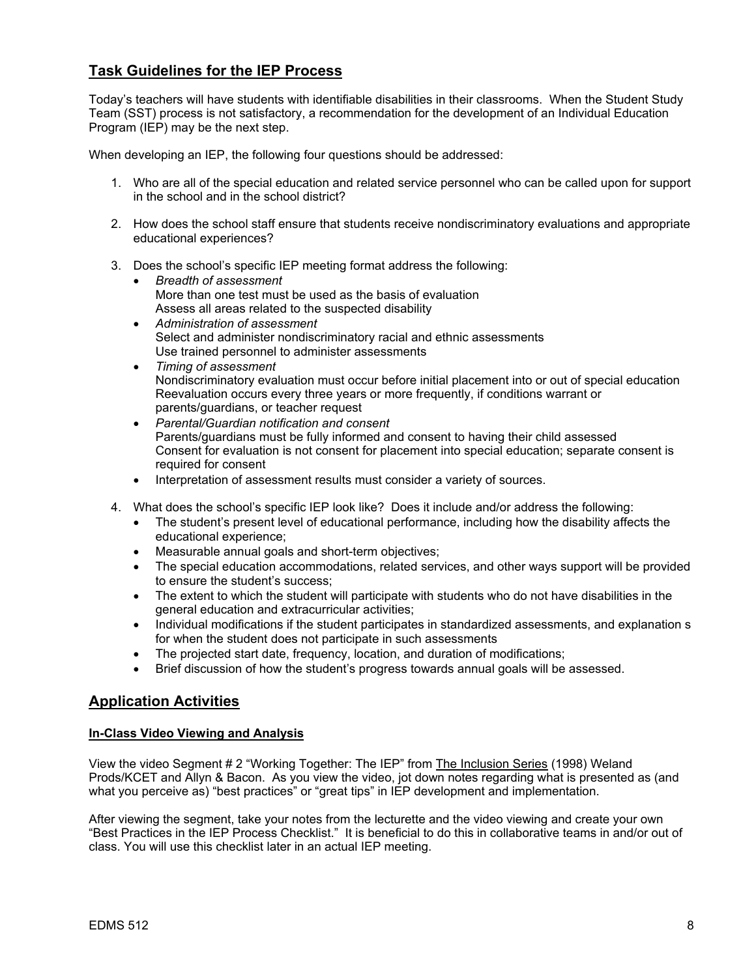# **Task Guidelines for the IEP Process**

Today's teachers will have students with identifiable disabilities in their classrooms. When the Student Study Team (SST) process is not satisfactory, a recommendation for the development of an Individual Education Program (IEP) may be the next step.

When developing an IEP, the following four questions should be addressed:

- 1. Who are all of the special education and related service personnel who can be called upon for support in the school and in the school district?
- 2. How does the school staff ensure that students receive nondiscriminatory evaluations and appropriate educational experiences?
- 3. Does the school's specific IEP meeting format address the following:
	- *Breadth of assessment*  More than one test must be used as the basis of evaluation Assess all areas related to the suspected disability
	- *Administration of assessment*  Select and administer nondiscriminatory racial and ethnic assessments Use trained personnel to administer assessments
	- *Timing of assessment*  Nondiscriminatory evaluation must occur before initial placement into or out of special education Reevaluation occurs every three years or more frequently, if conditions warrant or parents/guardians, or teacher request
	- *Parental/Guardian notification and consent*  Parents/guardians must be fully informed and consent to having their child assessed Consent for evaluation is not consent for placement into special education; separate consent is required for consent
	- Interpretation of assessment results must consider a variety of sources.
- 4. What does the school's specific IEP look like? Does it include and/or address the following:
	- The student's present level of educational performance, including how the disability affects the educational experience;
	- Measurable annual goals and short-term objectives;
	- The special education accommodations, related services, and other ways support will be provided to ensure the student's success;
	- The extent to which the student will participate with students who do not have disabilities in the general education and extracurricular activities;
	- Individual modifications if the student participates in standardized assessments, and explanation s for when the student does not participate in such assessments
	- The projected start date, frequency, location, and duration of modifications;
	- Brief discussion of how the student's progress towards annual goals will be assessed.

## **Application Activities**

### **In-Class Video Viewing and Analysis**

View the video Segment # 2 "Working Together: The IEP" from The Inclusion Series (1998) Weland Prods/KCET and Allyn & Bacon. As you view the video, jot down notes regarding what is presented as (and what you perceive as) "best practices" or "great tips" in IEP development and implementation.

After viewing the segment, take your notes from the lecturette and the video viewing and create your own "Best Practices in the IEP Process Checklist." It is beneficial to do this in collaborative teams in and/or out of class. You will use this checklist later in an actual IEP meeting.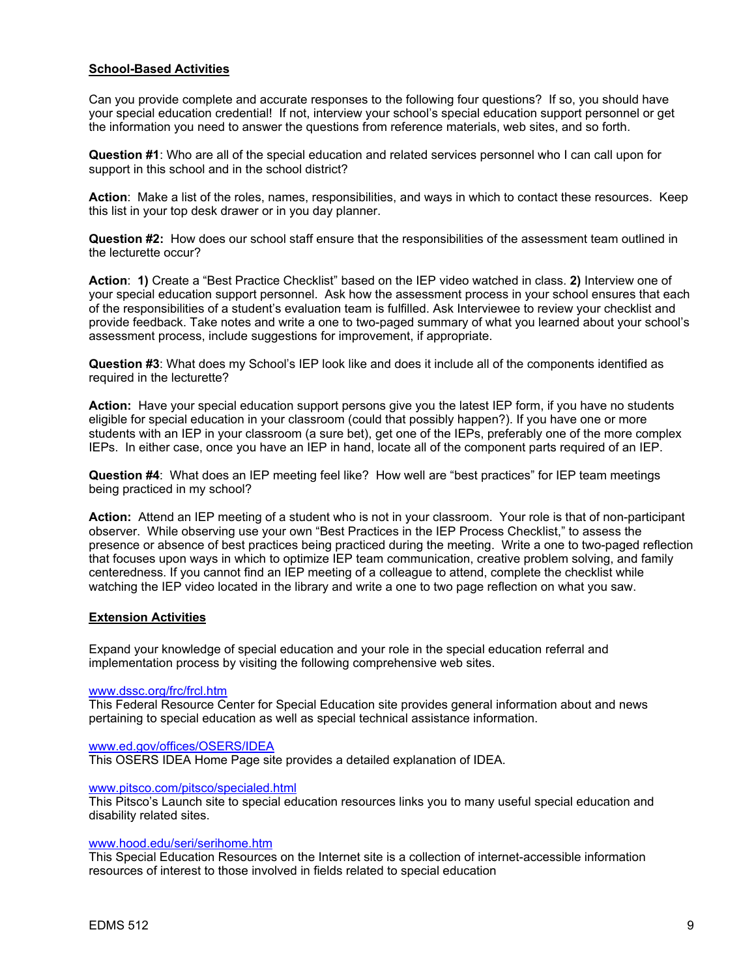### **School-Based Activities**

Can you provide complete and accurate responses to the following four questions? If so, you should have your special education credential! If not, interview your school's special education support personnel or get the information you need to answer the questions from reference materials, web sites, and so forth.

**Question #1**: Who are all of the special education and related services personnel who I can call upon for support in this school and in the school district?

**Action**: Make a list of the roles, names, responsibilities, and ways in which to contact these resources. Keep this list in your top desk drawer or in you day planner.

**Question #2:** How does our school staff ensure that the responsibilities of the assessment team outlined in the lecturette occur?

**Action**: **1)** Create a "Best Practice Checklist" based on the IEP video watched in class. **2)** Interview one of your special education support personnel. Ask how the assessment process in your school ensures that each of the responsibilities of a student's evaluation team is fulfilled. Ask Interviewee to review your checklist and provide feedback. Take notes and write a one to two-paged summary of what you learned about your school's assessment process, include suggestions for improvement, if appropriate.

**Question #3**: What does my School's IEP look like and does it include all of the components identified as required in the lecturette?

**Action:** Have your special education support persons give you the latest IEP form, if you have no students eligible for special education in your classroom (could that possibly happen?). If you have one or more students with an IEP in your classroom (a sure bet), get one of the IEPs, preferably one of the more complex IEPs. In either case, once you have an IEP in hand, locate all of the component parts required of an IEP.

**Question #4**: What does an IEP meeting feel like? How well are "best practices" for IEP team meetings being practiced in my school?

**Action:** Attend an IEP meeting of a student who is not in your classroom. Your role is that of non-participant observer. While observing use your own "Best Practices in the IEP Process Checklist," to assess the presence or absence of best practices being practiced during the meeting. Write a one to two-paged reflection that focuses upon ways in which to optimize IEP team communication, creative problem solving, and family centeredness. If you cannot find an IEP meeting of a colleague to attend, complete the checklist while watching the IEP video located in the library and write a one to two page reflection on what you saw.

### **Extension Activities**

Expand your knowledge of special education and your role in the special education referral and implementation process by visiting the following comprehensive web sites.

### www.dssc.org/frc/frcl.htm

This Federal Resource Center for Special Education site provides general information about and news pertaining to special education as well as special technical assistance information.

### www.ed.gov/offices/OSERS/IDEA

This OSERS IDEA Home Page site provides a detailed explanation of IDEA.

### www.pitsco.com/pitsco/specialed.html

This Pitsco's Launch site to special education resources links you to many useful special education and disability related sites.

### www.hood.edu/seri/serihome.htm

This Special Education Resources on the Internet site is a collection of internet-accessible information resources of interest to those involved in fields related to special education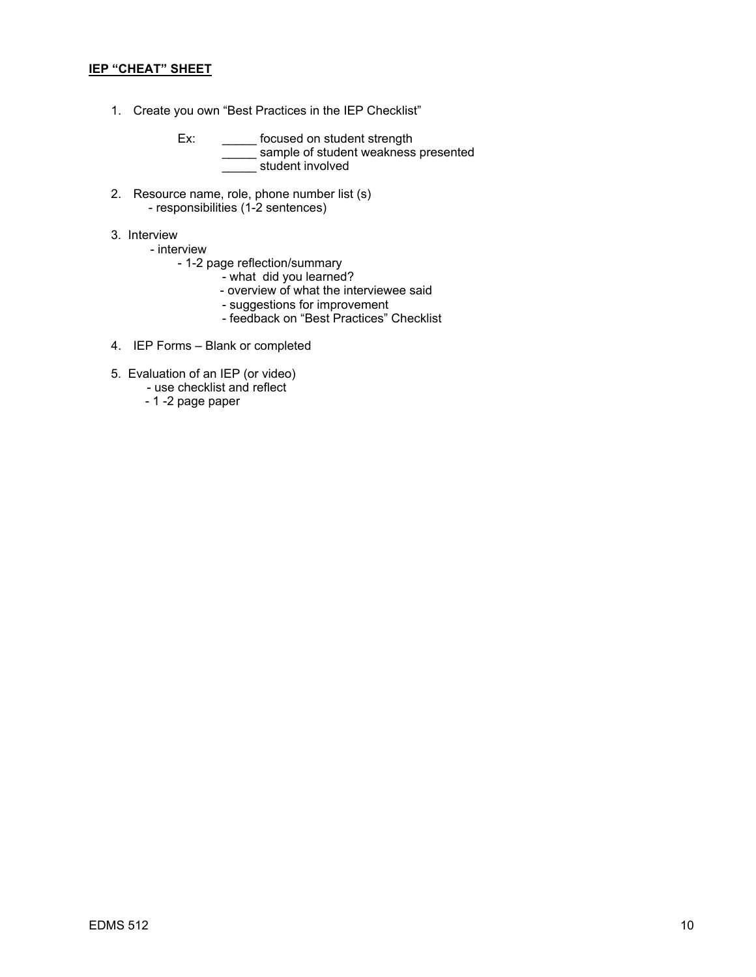### **IEP "CHEAT" SHEET**

- 1. Create you own "Best Practices in the IEP Checklist"
	- Ex: \_\_\_\_\_\_\_ focused on student strength  $\equiv$  sample of student weakness presented student involved
- 2. Resource name, role, phone number list (s) - responsibilities (1-2 sentences)
- 3. Interview
	- interview
		- 1-2 page reflection/summary
			- what did you learned?
			- overview of what the interviewee said
- suggestions for improvement
- feedback on "Best Practices" Checklist
- 4. IEP Forms Blank or completed
- 5. Evaluation of an IEP (or video)
	- use checklist and reflect
	- 1 -2 page paper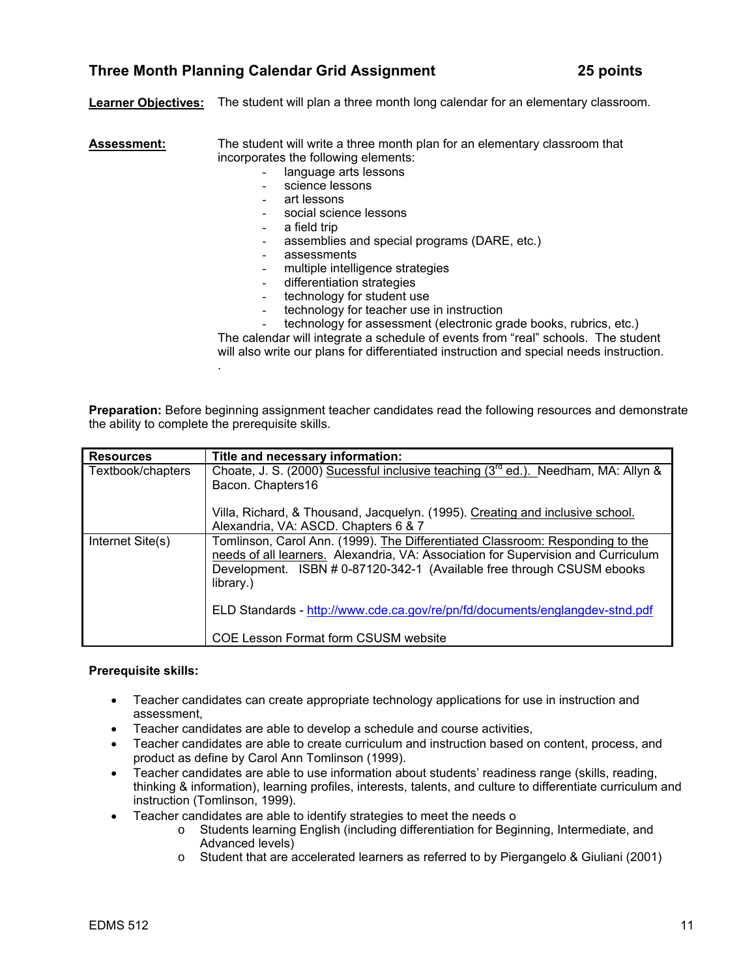# **Three Month Planning Calendar Grid Assignment 25 points**

**Learner Objectives:** The student will plan a three month long calendar for an elementary classroom.

**Assessment:** The student will write a three month plan for an elementary classroom that incorporates the following elements:

- language arts lessons
- science lessons
- art lessons
- social science lessons
- a field trip
- assemblies and special programs (DARE, etc.)
- assessments
- multiple intelligence strategies
- differentiation strategies
- technology for student use
- technology for teacher use in instruction
- technology for assessment (electronic grade books, rubrics, etc.)

The calendar will integrate a schedule of events from "real" schools. The student will also write our plans for differentiated instruction and special needs instruction. .

**Preparation:** Before beginning assignment teacher candidates read the following resources and demonstrate the ability to complete the prerequisite skills.

| <b>Resources</b>  | Title and necessary information:                                                       |  |
|-------------------|----------------------------------------------------------------------------------------|--|
| Textbook/chapters | Choate, J. S. (2000) Sucessful inclusive teaching $(3^{rd}$ ed.). Needham, MA: Allyn & |  |
|                   | Bacon. Chapters16                                                                      |  |
|                   | Villa, Richard, & Thousand, Jacquelyn. (1995). Creating and inclusive school.          |  |
|                   | Alexandria, VA: ASCD. Chapters 6 & 7                                                   |  |
| Internet Site(s)  | Tomlinson, Carol Ann. (1999). The Differentiated Classroom: Responding to the          |  |
|                   | needs of all learners. Alexandria, VA: Association for Supervision and Curriculum      |  |
|                   | Development. ISBN # 0-87120-342-1 (Available free through CSUSM ebooks<br>library.)    |  |
|                   | ELD Standards - http://www.cde.ca.gov/re/pn/fd/documents/englangdev-stnd.pdf           |  |
|                   | <b>COE Lesson Format form CSUSM website</b>                                            |  |

### **Prerequisite skills:**

- Teacher candidates can create appropriate technology applications for use in instruction and assessment,
- Teacher candidates are able to develop a schedule and course activities,
- Teacher candidates are able to create curriculum and instruction based on content, process, and product as define by Carol Ann Tomlinson (1999).
- Teacher candidates are able to use information about students' readiness range (skills, reading, thinking & information), learning profiles, interests, talents, and culture to differentiate curriculum and instruction (Tomlinson, 1999).
- Teacher candidates are able to identify strategies to meet the needs o
	- o Students learning English (including differentiation for Beginning, Intermediate, and Advanced levels)
	- o Student that are accelerated learners as referred to by Piergangelo & Giuliani (2001)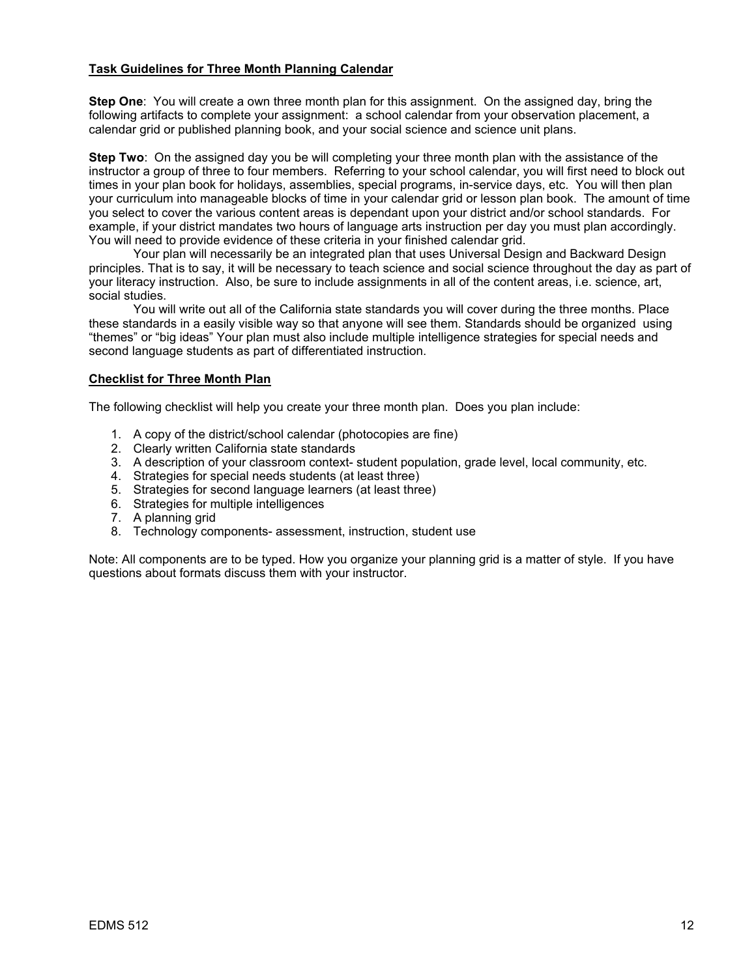### **Task Guidelines for Three Month Planning Calendar**

**Step One**: You will create a own three month plan for this assignment. On the assigned day, bring the following artifacts to complete your assignment: a school calendar from your observation placement, a calendar grid or published planning book, and your social science and science unit plans.

**Step Two**: On the assigned day you be will completing your three month plan with the assistance of the instructor a group of three to four members. Referring to your school calendar, you will first need to block out times in your plan book for holidays, assemblies, special programs, in-service days, etc. You will then plan your curriculum into manageable blocks of time in your calendar grid or lesson plan book. The amount of time you select to cover the various content areas is dependant upon your district and/or school standards. For example, if your district mandates two hours of language arts instruction per day you must plan accordingly. You will need to provide evidence of these criteria in your finished calendar grid.

 Your plan will necessarily be an integrated plan that uses Universal Design and Backward Design principles. That is to say, it will be necessary to teach science and social science throughout the day as part of your literacy instruction. Also, be sure to include assignments in all of the content areas, i.e. science, art, social studies.

 You will write out all of the California state standards you will cover during the three months. Place these standards in a easily visible way so that anyone will see them. Standards should be organized using "themes" or "big ideas" Your plan must also include multiple intelligence strategies for special needs and second language students as part of differentiated instruction.

### **Checklist for Three Month Plan**

The following checklist will help you create your three month plan. Does you plan include:

- 1. A copy of the district/school calendar (photocopies are fine)
- 2. Clearly written California state standards
- 3. A description of your classroom context- student population, grade level, local community, etc.
- 4. Strategies for special needs students (at least three)
- 5. Strategies for second language learners (at least three)
- 6. Strategies for multiple intelligences
- 7. A planning grid
- 8. Technology components- assessment, instruction, student use

Note: All components are to be typed. How you organize your planning grid is a matter of style. If you have questions about formats discuss them with your instructor.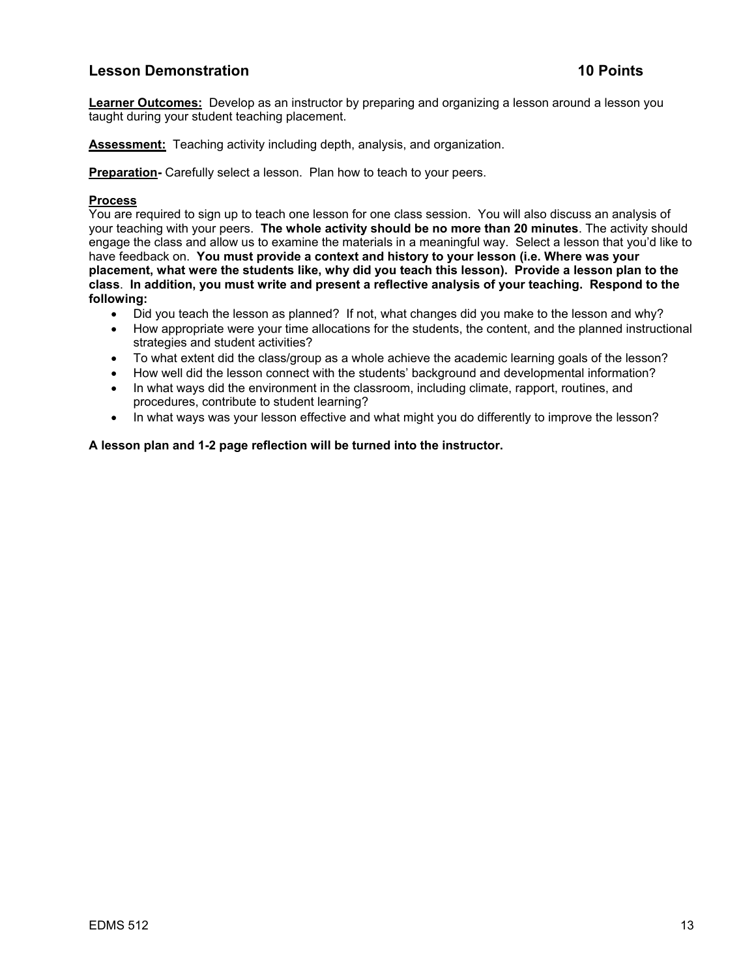# **Lesson Demonstration 10 Points in the U.S. Contract of the U.S. Contract of the U.S. Contract of the U.S. Contract of the U.S. Contract of the U.S. Contract of the U.S. Contract of the U.S. Contract of the U.S. Contract o**

**Learner Outcomes:** Develop as an instructor by preparing and organizing a lesson around a lesson you taught during your student teaching placement.

**Assessment:** Teaching activity including depth, analysis, and organization.

**Preparation-** Carefully select a lesson. Plan how to teach to your peers.

### **Process**

You are required to sign up to teach one lesson for one class session. You will also discuss an analysis of your teaching with your peers. **The whole activity should be no more than 20 minutes**. The activity should engage the class and allow us to examine the materials in a meaningful way. Select a lesson that you'd like to have feedback on. **You must provide a context and history to your lesson (i.e. Where was your placement, what were the students like, why did you teach this lesson). Provide a lesson plan to the class**. **In addition, you must write and present a reflective analysis of your teaching. Respond to the following:**

- Did you teach the lesson as planned? If not, what changes did you make to the lesson and why?
- How appropriate were your time allocations for the students, the content, and the planned instructional strategies and student activities?
- To what extent did the class/group as a whole achieve the academic learning goals of the lesson?
- How well did the lesson connect with the students' background and developmental information?
- In what ways did the environment in the classroom, including climate, rapport, routines, and procedures, contribute to student learning?
- In what ways was your lesson effective and what might you do differently to improve the lesson?

**A lesson plan and 1-2 page reflection will be turned into the instructor.**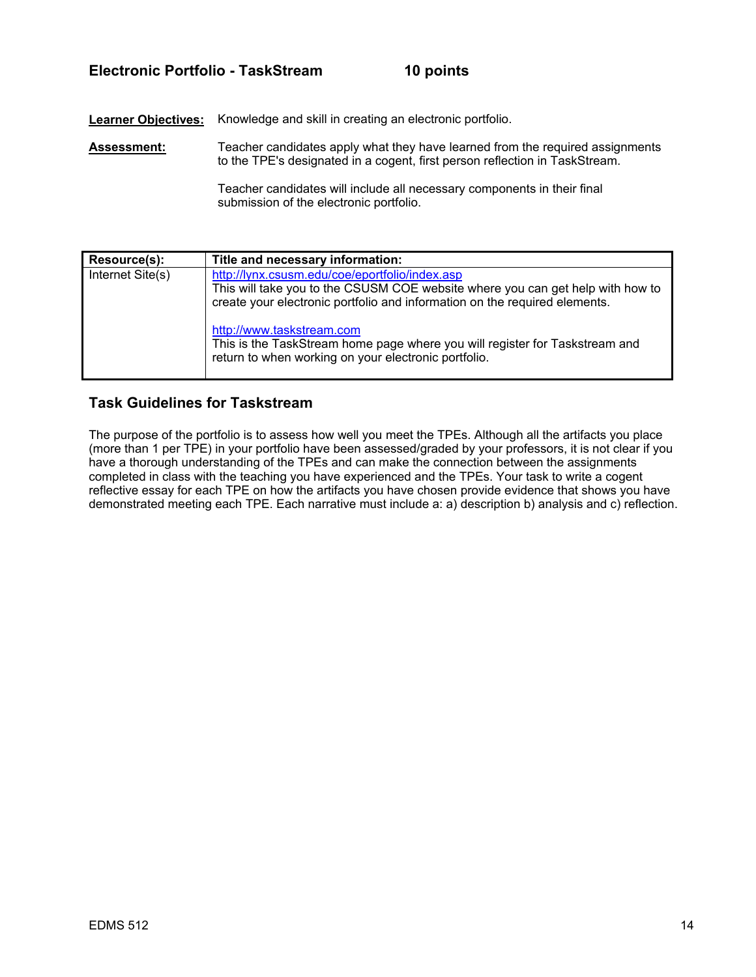# **Electronic Portfolio - TaskStream 10 points**

**Learner Objectives:** Knowledge and skill in creating an electronic portfolio.

**Assessment:** Teacher candidates apply what they have learned from the required assignments to the TPE's designated in a cogent, first person reflection in TaskStream.

> Teacher candidates will include all necessary components in their final submission of the electronic portfolio.

| Resource(s):     | Title and necessary information:                                                                                                                                                                               |
|------------------|----------------------------------------------------------------------------------------------------------------------------------------------------------------------------------------------------------------|
| Internet Site(s) | http://lynx.csusm.edu/coe/eportfolio/index.asp<br>This will take you to the CSUSM COE website where you can get help with how to<br>create your electronic portfolio and information on the required elements. |
|                  | http://www.taskstream.com<br>This is the TaskStream home page where you will register for Taskstream and<br>return to when working on your electronic portfolio.                                               |

# **Task Guidelines for Taskstream**

The purpose of the portfolio is to assess how well you meet the TPEs. Although all the artifacts you place (more than 1 per TPE) in your portfolio have been assessed/graded by your professors, it is not clear if you have a thorough understanding of the TPEs and can make the connection between the assignments completed in class with the teaching you have experienced and the TPEs. Your task to write a cogent reflective essay for each TPE on how the artifacts you have chosen provide evidence that shows you have demonstrated meeting each TPE. Each narrative must include a: a) description b) analysis and c) reflection.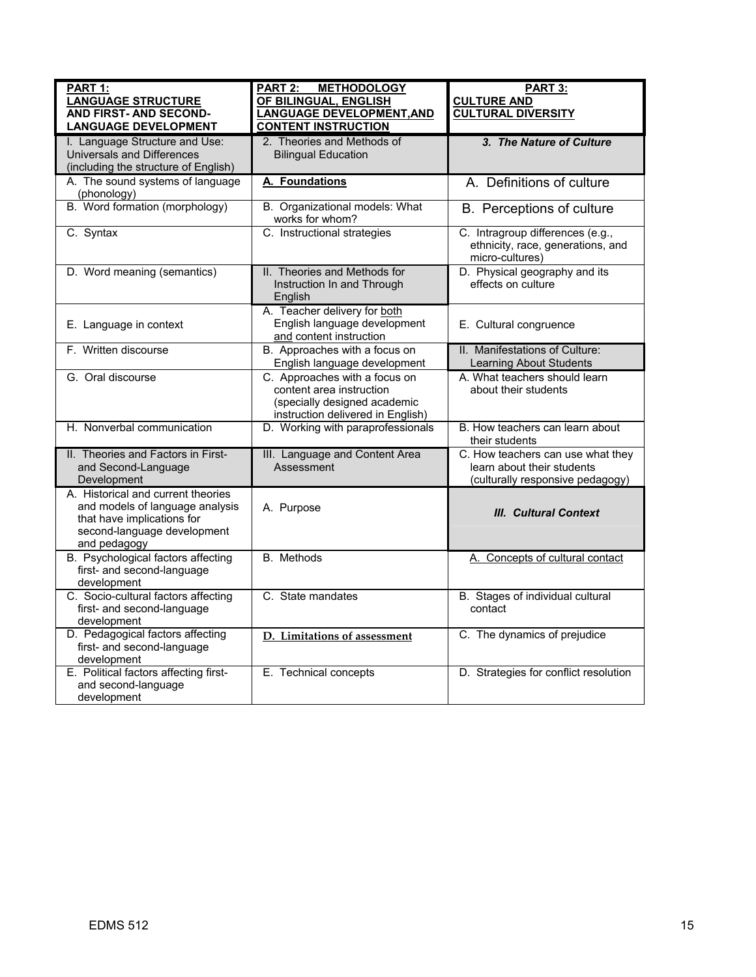| PART 1:<br><b>LANGUAGE STRUCTURE</b><br><b>AND FIRST- AND SECOND-</b><br><b>LANGUAGE DEVELOPMENT</b>                                               | PART 2:<br><b>METHODOLOGY</b><br>OF BILINGUAL, ENGLISH<br><b>LANGUAGE DEVELOPMENT, AND</b><br><b>CONTENT INSTRUCTION</b>       | PART 3:<br><b>CULTURE AND</b><br><b>CULTURAL DIVERSITY</b>                                          |
|----------------------------------------------------------------------------------------------------------------------------------------------------|--------------------------------------------------------------------------------------------------------------------------------|-----------------------------------------------------------------------------------------------------|
| I. Language Structure and Use:<br>Universals and Differences<br>(including the structure of English)                                               | 2. Theories and Methods of<br><b>Bilingual Education</b>                                                                       | 3. The Nature of Culture                                                                            |
| A. The sound systems of language<br>(phonology)                                                                                                    | A. Foundations                                                                                                                 | A. Definitions of culture                                                                           |
| B. Word formation (morphology)                                                                                                                     | B. Organizational models: What<br>works for whom?                                                                              | B. Perceptions of culture                                                                           |
| C. Syntax                                                                                                                                          | C. Instructional strategies                                                                                                    | C. Intragroup differences (e.g.,<br>ethnicity, race, generations, and<br>micro-cultures)            |
| D. Word meaning (semantics)                                                                                                                        | II. Theories and Methods for<br>Instruction In and Through<br>English                                                          | D. Physical geography and its<br>effects on culture                                                 |
| E. Language in context                                                                                                                             | A. Teacher delivery for both<br>English language development<br>and content instruction                                        | E. Cultural congruence                                                                              |
| F. Written discourse                                                                                                                               | B. Approaches with a focus on<br>English language development                                                                  | II. Manifestations of Culture:<br>Learning About Students                                           |
| G. Oral discourse                                                                                                                                  | C. Approaches with a focus on<br>content area instruction<br>(specially designed academic<br>instruction delivered in English) | A. What teachers should learn<br>about their students                                               |
| H. Nonverbal communication                                                                                                                         | D. Working with paraprofessionals                                                                                              | B. How teachers can learn about<br>their students                                                   |
| II. Theories and Factors in First-<br>and Second-Language<br>Development                                                                           | III. Language and Content Area<br>Assessment                                                                                   | C. How teachers can use what they<br>learn about their students<br>(culturally responsive pedagogy) |
| A. Historical and current theories<br>and models of language analysis<br>that have implications for<br>second-language development<br>and pedagogy | A. Purpose                                                                                                                     | <b>III. Cultural Context</b>                                                                        |
| B. Psychological factors affecting<br>first- and second-language<br>development                                                                    | B. Methods                                                                                                                     | A. Concepts of cultural contact                                                                     |
| C. Socio-cultural factors affecting<br>first- and second-language<br>development                                                                   | C. State mandates                                                                                                              | B. Stages of individual cultural<br>contact                                                         |
| D. Pedagogical factors affecting<br>first- and second-language<br>development                                                                      | D. Limitations of assessment                                                                                                   | C. The dynamics of prejudice                                                                        |
| E. Political factors affecting first-<br>and second-language<br>development                                                                        | E. Technical concepts                                                                                                          | D. Strategies for conflict resolution                                                               |